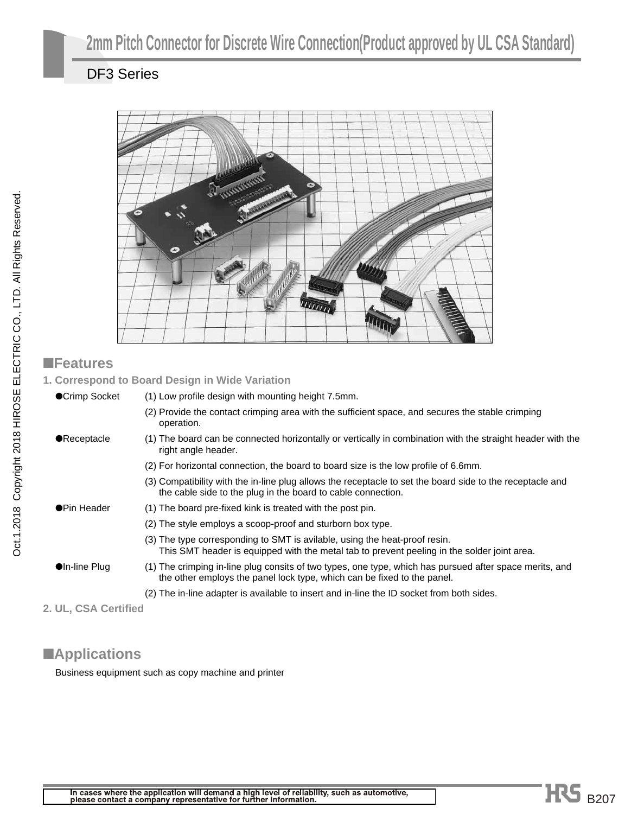## DF3 Series



#### ■**Features**

**1. Correspond to Board Design in Wide Variation**

| ●Crimp Socket          | (1) Low profile design with mounting height 7.5mm.                                                                                                                                 |
|------------------------|------------------------------------------------------------------------------------------------------------------------------------------------------------------------------------|
|                        | (2) Provide the contact crimping area with the sufficient space, and secures the stable crimping<br>operation.                                                                     |
| <b>•Receptacle</b>     | (1) The board can be connected horizontally or vertically in combination with the straight header with the<br>right angle header.                                                  |
|                        | (2) For horizontal connection, the board to board size is the low profile of 6.6mm.                                                                                                |
|                        | (3) Compatibility with the in-line plug allows the receptacle to set the board side to the receptacle and<br>the cable side to the plug in the board to cable connection.          |
| ●Pin Header            | (1) The board pre-fixed kink is treated with the post pin.                                                                                                                         |
|                        | (2) The style employs a scoop-proof and sturborn box type.                                                                                                                         |
|                        | (3) The type corresponding to SMT is avilable, using the heat-proof resin.<br>This SMT header is equipped with the metal tab to prevent peeling in the solder joint area.          |
| $\bullet$ In-line Plug | (1) The crimping in-line plug consits of two types, one type, which has pursued after space merits, and<br>the other employs the panel lock type, which can be fixed to the panel. |
|                        | (2) The in-line adapter is available to insert and in-line the ID socket from both sides.                                                                                          |

**2. UL, CSA Certified**

## ■**Applications**

Business equipment such as copy machine and printer

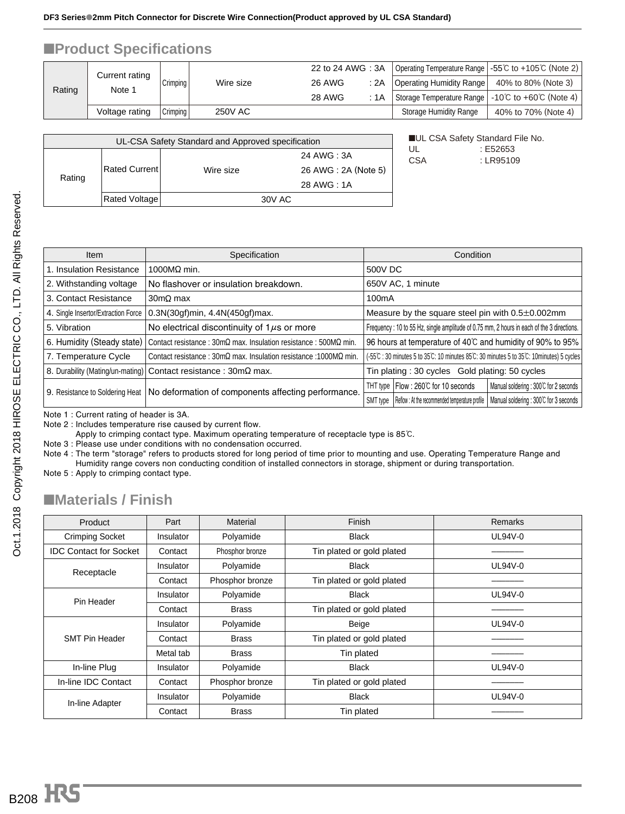#### ■**Product Specifications**

| Rating | Current rating |          |                | 22 to 24 AWG: 3A |      | Operating Temperature Range   -55℃ to +105℃ (Note 2)              |                     |
|--------|----------------|----------|----------------|------------------|------|-------------------------------------------------------------------|---------------------|
|        |                | Crimping | Wire size      | <b>26 AWG</b>    | : 2A | Operating Humidity Range                                          | 40% to 80% (Note 3) |
|        | Note 1         |          |                | <b>28 AWG</b>    | :1A  | Storage Temperature Range $\vert$ -10°C to +60°C (Note 4) $\vert$ |                     |
|        | Voltage rating | Crimping | <b>250V AC</b> |                  |      | Storage Humidity Range                                            | 40% to 70% (Note 4) |

| UL-CSA Safety Standard and Approved specification |               |           |                     |  |  |  |  |  |
|---------------------------------------------------|---------------|-----------|---------------------|--|--|--|--|--|
|                                                   |               |           | 24 AWG : 3A         |  |  |  |  |  |
|                                                   | Rated Current | Wire size | 26 AWG: 2A (Note 5) |  |  |  |  |  |
| Rating                                            |               |           | 28 AWG: 1A          |  |  |  |  |  |
|                                                   | Rated Voltage | 30V AC    |                     |  |  |  |  |  |
|                                                   |               |           |                     |  |  |  |  |  |

■UL CSA Safety Standard File No. UL : E52653 CSA : LR95109

| Item                                | Specification                                                                                 | Condition                                                                                           |  |  |  |  |  |
|-------------------------------------|-----------------------------------------------------------------------------------------------|-----------------------------------------------------------------------------------------------------|--|--|--|--|--|
| 1. Insulation Resistance            | 1000MO min.                                                                                   | 500V DC                                                                                             |  |  |  |  |  |
| 2. Withstanding voltage             | No flashover or insulation breakdown.                                                         | 650V AC, 1 minute                                                                                   |  |  |  |  |  |
| 3. Contact Resistance               | $30 \text{m}\Omega$ max                                                                       | 100 <sub>m</sub> A                                                                                  |  |  |  |  |  |
| 4. Single Insertor/Extraction Force | $0.3N(30gf)$ min, $4.4N(450gf)$ max.                                                          | Measure by the square steel pin with $0.5 \pm 0.002$ mm                                             |  |  |  |  |  |
| 5. Vibration                        | No electrical discontinuity of $1\mu s$ or more                                               | Frequency: 10 to 55 Hz, single amplitude of 0.75 mm, 2 hours in each of the 3 directions.           |  |  |  |  |  |
| 6. Humidity (Steady state)          | Contact resistance: $30 \text{m}\Omega$ max. Insulation resistance: $500 \text{M}\Omega$ min. | 96 hours at temperature of 40°C and humidity of 90% to 95%                                          |  |  |  |  |  |
| 7. Temperature Cycle                | Contact resistance: $30 \text{m}\Omega$ max. Insulation resistance: 1000M $\Omega$ min.       | (-55°C: 30 minutes 5 to 35°C: 10 minutes 85°C: 30 minutes 5 to 35°C: 10 minutes) 5 cycles           |  |  |  |  |  |
|                                     | 8. Durability (Mating/un-mating) Contact resistance: 30mΩ max.                                | Tin plating: 30 cycles Gold plating: 50 cycles                                                      |  |  |  |  |  |
|                                     | 9. Resistance to Soldering Heat   No deformation of components affecting performance.         | Manual soldering: 300°C for 2 seconds<br>THT type   Flow : 260℃ for 10 seconds                      |  |  |  |  |  |
|                                     |                                                                                               | Manual soldering: 300°C for 3 seconds<br>Reflow: At the recommended temperature profile<br>SMT type |  |  |  |  |  |

Note 1 : Current rating of header is 3A.

Note 2 : Includes temperature rise caused by current flow.

Apply to crimping contact type. Maximum operating temperature of receptacle type is 85°C.

Note 3 : Please use under conditions with no condensation occurred.

Note 4 : The term "storage" refers to products stored for long period of time prior to mounting and use. Operating Temperature Range and Humidity range covers non conducting condition of installed connectors in storage, shipment or during transportation.

Note 5 : Apply to crimping contact type.

#### ■**Materials / Finish**

| Product                       | Part      | Material        | Finish                    | <b>Remarks</b> |
|-------------------------------|-----------|-----------------|---------------------------|----------------|
| <b>Crimping Socket</b>        | Insulator | Polyamide       | <b>Black</b>              | UL94V-0        |
| <b>IDC Contact for Socket</b> | Contact   | Phosphor bronze | Tin plated or gold plated |                |
| Receptacle                    | Insulator | Polyamide       | <b>Black</b>              | UL94V-0        |
|                               | Contact   | Phosphor bronze | Tin plated or gold plated |                |
| Pin Header                    | Insulator | Polyamide       | <b>Black</b>              | UL94V-0        |
|                               | Contact   | <b>Brass</b>    | Tin plated or gold plated |                |
|                               | Insulator | Polyamide       | Beige                     | UL94V-0        |
| <b>SMT Pin Header</b>         | Contact   | <b>Brass</b>    | Tin plated or gold plated |                |
|                               | Metal tab | <b>Brass</b>    | Tin plated                |                |
| In-line Plug                  | Insulator | Polyamide       | <b>Black</b>              | UL94V-0        |
| In-line IDC Contact           | Contact   | Phosphor bronze | Tin plated or gold plated |                |
| In-line Adapter               | Insulator | Polyamide       | <b>Black</b>              | UL94V-0        |
|                               | Contact   | <b>Brass</b>    | Tin plated                |                |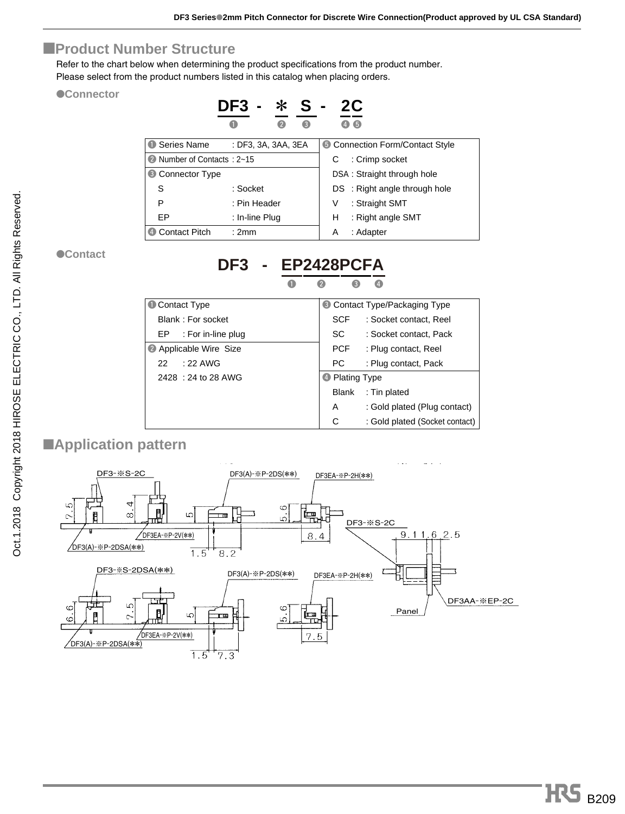#### ■**Product Number Structure**

Refer to the chart below when determining the product specifications from the product number. Please select from the product numbers listed in this catalog when placing orders.

●**Connector**

|                            | DF3<br>$\blacksquare$ |   | - S - |   | 2 <sub>C</sub>                |
|----------------------------|-----------------------|---|-------|---|-------------------------------|
|                            |                       | 2 | 6     |   | 6                             |
| <b>1</b> Series Name       | : DF3, 3A, 3AA, 3EA   |   |       |   | Connection Form/Contact Style |
| 2 Number of Contacts: 2~15 |                       |   |       | С | : Crimp socket                |
| <b>6</b> Connector Type    |                       |   |       |   | DSA: Straight through hole    |
| S                          | : Socket              |   |       |   | DS : Right angle through hole |
| P                          | : Pin Header          |   |       | V | : Straight SMT                |
| EP                         | : In-line Plug        |   |       | н | : Right angle SMT             |
| <b>Contact Pitch</b>       | :2mm                  |   |       | Α | : Adapter                     |

●**Contact**

| Contact Type              |                           | Contact Type/Packaging Type    |
|---------------------------|---------------------------|--------------------------------|
| Blank: For socket         | <b>SCF</b>                | : Socket contact. Reel         |
| : For in-line plug<br>EP. | SC -                      | : Socket contact. Pack         |
| 2 Applicable Wire Size    | PCF                       | : Plug contact, Reel           |
| $:22$ AWG<br>22.          | PC.                       | : Plug contact, Pack           |
| 2428 : 24 to 28 AWG       | <sup>4</sup> Plating Type |                                |
|                           | <b>Blank</b>              | : Tin plated                   |
|                           | A                         | : Gold plated (Plug contact)   |
|                           | C                         | : Gold plated (Socket contact) |

**DF3 - EP2428PCF** 

### ■**Application pattern**

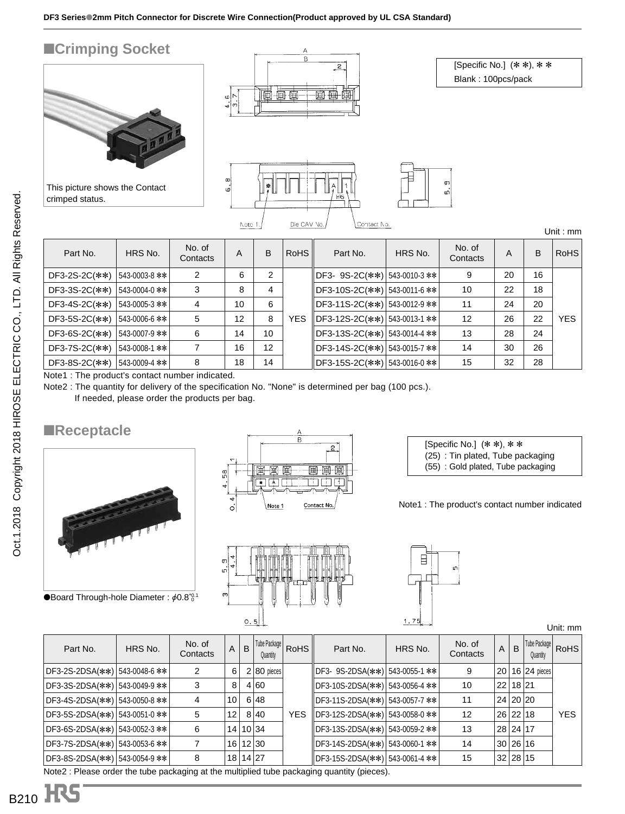$\frac{8}{6}$ 

Note 1

## ■**Crimping Socket**



This picture shows the Contact crimped status.



[Specific No.] (\* \*), \* \* Blank : 100pcs/pack



Unit : mm

| Part No.           | HRS No.       | No. of<br>Contacts | A  | B  | RoHS       | Part No.                      | HRS No. | No. of<br>Contacts | A  | B  | <b>RoHS</b> |
|--------------------|---------------|--------------------|----|----|------------|-------------------------------|---------|--------------------|----|----|-------------|
| DF3-2S-2C(**)      | 543-0003-8 ** | 2                  | 6  | 2  |            | DF3-9S-2C(**) 543-0010-3 **   |         | 9                  | 20 | 16 |             |
| DF3-3S-2C(**)      | 543-0004-0 ** | 3                  | 8  | 4  |            | DF3-10S-2C(∗∗) 543-0011-6 **  |         | 10                 | 22 | 18 |             |
| DF3-4S-2C(**)      | 543-0005-3 ∗∗ | 4                  | 10 | 6  |            | DF3-11S-2C(**)  543-0012-9 ** |         | 11                 | 24 | 20 |             |
| $DF3-5S-2C$ $(**)$ | 543-0006-6 ** | 5                  | 12 | 8  | <b>YES</b> | DF3-12S-2C(**) 543-0013-1 **  |         | 12                 | 26 | 22 | <b>YES</b>  |
| $DF3-6S-2C$ $(**)$ | 543-0007-9 ** | 6                  | 14 | 10 |            | DF3-13S-2C(∗∗) 543-0014-4 **  |         | 13                 | 28 | 24 |             |
| DF3-7S-2C(**)      | 543-0008-1 ** |                    | 16 | 12 |            | DF3-14S-2C(**) 543-0015-7 **  |         | 14                 | 30 | 26 |             |
| $DF3-8S-2C(***)$   | 543-0009-4 ** | 8                  | 18 | 14 |            | DF3-15S-2C(**) 543-0016-0 **  |         | 15                 | 32 | 28 |             |

Note1 : The product's contact number indicated.

Note2 : The quantity for delivery of the specification No. "None" is determined per bag (100 pcs.). If needed, please order the products per bag.

#### ■**Receptacle**



●Board Through-hole Diameter:  $\phi$ 0.8 $^{40.1}$ 





|         | in |
|---------|----|
| Ċ<br>75 |    |

Note1 : The product's contact number indicated

[Specific No.] (\* \*), \* \* (25) : Tin plated, Tube packaging (55) : Gold plated, Tube packaging

Unit: mm

|                               |         |                    |                 |   |                          |            |                                           |         |                    |                 |          |                          | ◡╷╷╷. ╷╷╷╷  |
|-------------------------------|---------|--------------------|-----------------|---|--------------------------|------------|-------------------------------------------|---------|--------------------|-----------------|----------|--------------------------|-------------|
| Part No.                      | HRS No. | No. of<br>Contacts | A               | B | Tube Package<br>Quantity | RoHS       | Part No.                                  | HRS No. | No. of<br>Contacts | A               | B        | Tube Package<br>Quantity | <b>RoHS</b> |
| DF3-2S-2DSA(**) 543-0048-6 ** |         |                    | 6               |   | $2 80$ pieces            |            | DF3- 9S-2DSA(**) 543-0055-1 **            |         | 9                  | 20 <sup>1</sup> |          | $ 16 24$ pieces          |             |
| DF3-3S-2DSA(**) 543-0049-9 ** |         |                    | 8               |   | 4 60                     |            | DF3-10S-2DSA(**) 543-0056-4 **            |         | 10                 |                 | 22 18 21 |                          |             |
| DF3-4S-2DSA(**) 543-0050-8 ** |         | 4                  | 10 <sup>1</sup> |   | 6 48                     |            | DF3-11S-2DSA(**) 543-0057-7 **            |         | 11                 |                 | 24 20 20 |                          |             |
| DF3-5S-2DSA(**) 543-0051-0 ** |         | 5                  | 12              |   | 8 40                     | <b>YES</b> | DF3-12S-2DSA(**) 543-0058-0 **            |         | 12                 |                 | 26 22 18 |                          | <b>YES</b>  |
| DF3-6S-2DSA(**) 543-0052-3 ** |         | 6                  |                 |   | 14 10 34                 |            | DF3-13S-2DSA(**) 543-0059-2 **            |         | 13                 |                 | 28 24 17 |                          |             |
| DF3-7S-2DSA(**) 543-0053-6 ** |         |                    |                 |   | 16 12 30                 |            | DF3-14S-2DSA(**)   543-0060-1 **          |         | 14                 |                 | 30 26 16 |                          |             |
| DF3-8S-2DSA(**) 543-0054-9 ** |         | 8                  |                 |   | 18 14 27                 |            | DF3-15S-2DSA(∗∗*)   543-0061-4 **         |         | 15                 |                 | 32 28 15 |                          |             |
|                               |         |                    |                 |   | .                        |            | $\sim$ $\sim$ $\sim$ $\sim$ $\sim$ $\sim$ |         |                    |                 |          |                          |             |

Note2 : Please order the tube packaging at the multiplied tube packaging quantity (pieces).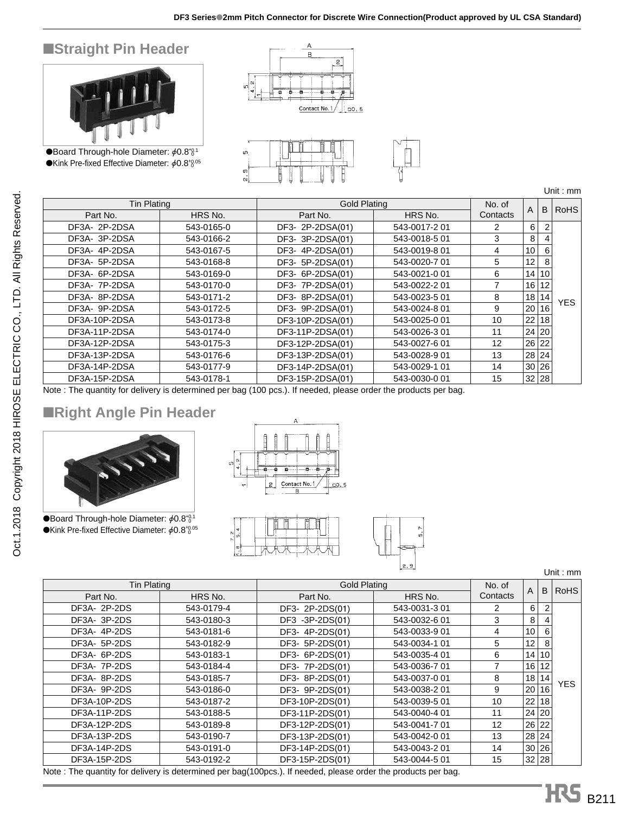### ■**Straight Pin Header**



●Board Through-hole Diameter:  $\phi$ 0.8 $^{+0.1}_{0.0}$  $\bullet$ Kink Pre-fixed Effective Diameter:  $\phi$ 0.8 $^{+0.05}_{-0.05}$ 





Unit : mm

|                    |                  |                     |          |        |    | UIIII.IIIII |  |             |
|--------------------|------------------|---------------------|----------|--------|----|-------------|--|-------------|
| <b>Tin Plating</b> |                  | <b>Gold Plating</b> |          |        |    |             |  | <b>RoHS</b> |
| HRS No.            | Part No.         | HRS No.             | Contacts |        |    |             |  |             |
| 543-0165-0         | DF3- 2P-2DSA(01) | 543-0017-2 01       | 2        | 6      |    |             |  |             |
| 543-0166-2         | DF3- 3P-2DSA(01) | 543-0018-5 01       | 3        | 8      |    |             |  |             |
| 543-0167-5         | DF3- 4P-2DSA(01) | 543-0019-8 01       | 4        | 10     | 6  |             |  |             |
| 543-0168-8         | DF3- 5P-2DSA(01) | 543-0020-7 01       | 5.       | 12     | 8  |             |  |             |
| 543-0169-0         | DF3- 6P-2DSA(01) | 543-0021-0 01       | 6        | 14     | 10 |             |  |             |
| 543-0170-0         | DF3- 7P-2DSA(01) | 543-0022-2 01       |          | 16     | 12 |             |  |             |
| 543-0171-2         | DF3- 8P-2DSA(01) | 543-0023-5 01       | 8        | 18     | 14 | <b>YES</b>  |  |             |
| 543-0172-5         | DF3- 9P-2DSA(01) | 543-0024-8 01       | 9        | 20     | 16 |             |  |             |
| 543-0173-8         | DF3-10P-2DSA(01) | 543-0025-0 01       | 10       | 22     | 18 |             |  |             |
| 543-0174-0         | DF3-11P-2DSA(01) | 543-0026-3 01       | 11       | 24     | 20 |             |  |             |
| 543-0175-3         | DF3-12P-2DSA(01) | 543-0027-6 01       | 12       | 26     | 22 |             |  |             |
| 543-0176-6         | DF3-13P-2DSA(01) | 543-0028-9 01       | 13       | 28     | 24 |             |  |             |
| 543-0177-9         | DF3-14P-2DSA(01) | 543-0029-1 01       | 14       | 30     | 26 |             |  |             |
| 543-0178-1         | DF3-15P-2DSA(01) | 543-0030-0 01       | 15       |        |    |             |  |             |
|                    |                  |                     |          | No. of | Α  | B<br>32 28  |  |             |

Note : The quantity for delivery is determined per bag (100 pcs.). If needed, please order the products per bag.

### ■**Right Angle Pin Header**



●Board Through-hole Diameter:  $\phi$ 0.8 $^{+0.1}_{0.0}$  $\bullet$ Kink Pre-fixed Effective Diameter:  $\phi$ 0.8 $^{+0.05}_{0.05}$ 







Unit : mm

| <b>Tin Plating</b> |            | <b>Gold Plating</b> |               | No. of   | A               | B     | <b>RoHS</b> |
|--------------------|------------|---------------------|---------------|----------|-----------------|-------|-------------|
| Part No.           | HRS No.    | Part No.            | HRS No.       | Contacts |                 |       |             |
| DF3A- 2P-2DS       | 543-0179-4 | DF3- 2P-2DS(01)     | 543-0031-3 01 | 2        | $6 \mid$        | 2     |             |
| DF3A-3P-2DS        | 543-0180-3 | DF3 -3P-2DS(01)     | 543-0032-6 01 | 3        | 8 <sup>1</sup>  | 4     |             |
| DF3A-4P-2DS        | 543-0181-6 | DF3- 4P-2DS(01)     | 543-0033-9 01 | 4        | 10 <sup>1</sup> | 6     |             |
| DF3A- 5P-2DS       | 543-0182-9 | DF3- 5P-2DS(01)     | 543-0034-1 01 | 5        | 12              | 8     |             |
| DF3A- 6P-2DS       | 543-0183-1 | DF3- 6P-2DS(01)     | 543-0035-4 01 | 6        |                 | 14 10 |             |
| DF3A-7P-2DS        | 543-0184-4 | DF3- 7P-2DS(01)     | 543-0036-7 01 |          | 16              | 12    |             |
| DF3A-8P-2DS        | 543-0185-7 | DF3-8P-2DS(01)      | 543-0037-0 01 | 8        | 18 <sup>1</sup> | 14    | <b>YES</b>  |
| DF3A- 9P-2DS       | 543-0186-0 | DF3- 9P-2DS(01)     | 543-0038-2 01 | 9        | 20 <sub>1</sub> | 16    |             |
| DF3A-10P-2DS       | 543-0187-2 | DF3-10P-2DS(01)     | 543-0039-5 01 | 10       | 22              | 18    |             |
| DF3A-11P-2DS       | 543-0188-5 | DF3-11P-2DS(01)     | 543-0040-4 01 | 11       | 24 20           |       |             |
| DF3A-12P-2DS       | 543-0189-8 | DF3-12P-2DS(01)     | 543-0041-7 01 | 12       | 26 22           |       |             |
| DF3A-13P-2DS       | 543-0190-7 | DF3-13P-2DS(01)     | 543-0042-0 01 | 13       | 28 24           |       |             |
| DF3A-14P-2DS       | 543-0191-0 | DF3-14P-2DS(01)     | 543-0043-2 01 | 14       | 30 26           |       |             |
| DF3A-15P-2DS       | 543-0192-2 | DF3-15P-2DS(01)     | 543-0044-5 01 | 15       | 32 28           |       |             |

Note : The quantity for delivery is determined per bag(100pcs.). If needed, please order the products per bag.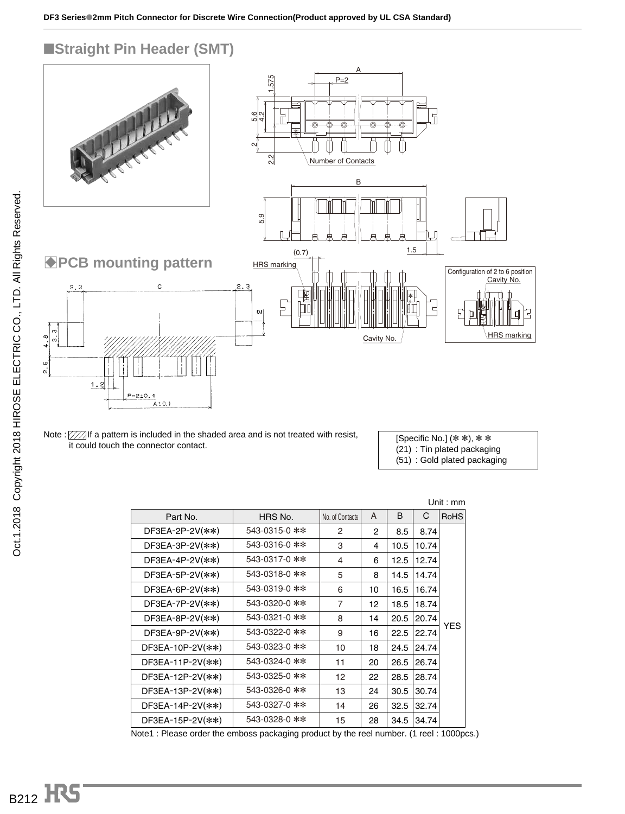#### ■**Straight Pin Header (SMT)**



Note :  $\mathbb{Z}/\mathbb{Z}$  If a pattern is included in the shaded area and is not treated with resist, it could touch the connector contact.

[Specific No.] (\* \*), \* \* (21) : Tin plated packaging (51) : Gold plated packaging

| Unit : $mm$        |               |                 |                |      |       |             |  |  |  |  |
|--------------------|---------------|-----------------|----------------|------|-------|-------------|--|--|--|--|
| Part No.           | HRS No.       | No. of Contacts | A              | B    | C     | <b>RoHS</b> |  |  |  |  |
| $DF3EA-2P-2V(**)$  | 543-0315-0 ** | $\overline{2}$  | $\overline{2}$ | 8.5  | 8.74  |             |  |  |  |  |
| $DF3EA-3P-2V(**)$  | 543-0316-0 ** | 3               | 4              | 10.5 | 10.74 |             |  |  |  |  |
| $DF3EA-4P-2V(**)$  | 543-0317-0 ** | 4               | 6              | 12.5 | 12.74 |             |  |  |  |  |
| $DF3EA-5P-2V(**)$  | 543-0318-0 ** | 5               | 8              | 14.5 | 14.74 |             |  |  |  |  |
| $DF3EA-6P-2V(**)$  | 543-0319-0 ** | 6               | 10             | 16.5 | 16.74 |             |  |  |  |  |
| $DF3EA-7P-2V(**)$  | 543-0320-0 ** | 7               | 12             | 18.5 | 18.74 |             |  |  |  |  |
| $DF3EA-8P-2V(**)$  | 543-0321-0 ** | 8               | 14             | 20.5 | 20.74 | <b>YES</b>  |  |  |  |  |
| $DF3EA-9P-2V(**)$  | 543-0322-0 ** | 9               | 16             | 22.5 | 22.74 |             |  |  |  |  |
| $DF3EA-10P-2V(**)$ | 543-0323-0 ** | 10              | 18             | 24.5 | 24.74 |             |  |  |  |  |
| $DF3EA-11P-2V(**)$ | 543-0324-0 ** | 11              | 20             | 26.5 | 26.74 |             |  |  |  |  |
| $DF3EA-12P-2V(**)$ | 543-0325-0 ** | 12              | 22             | 28.5 | 28.74 |             |  |  |  |  |
| $DF3EA-13P-2V(**)$ | 543-0326-0 ** | 13              | 24             | 30.5 | 30.74 |             |  |  |  |  |
| $DF3EA-14P-2V(**)$ | 543-0327-0 ** | 14              | 26             | 32.5 | 32.74 |             |  |  |  |  |
| $DF3EA-15P-2V(**)$ | 543-0328-0 ** | 15              | 28             | 34.5 | 34.74 |             |  |  |  |  |

Note1 : Please order the emboss packaging product by the reel number. (1 reel : 1000pcs.)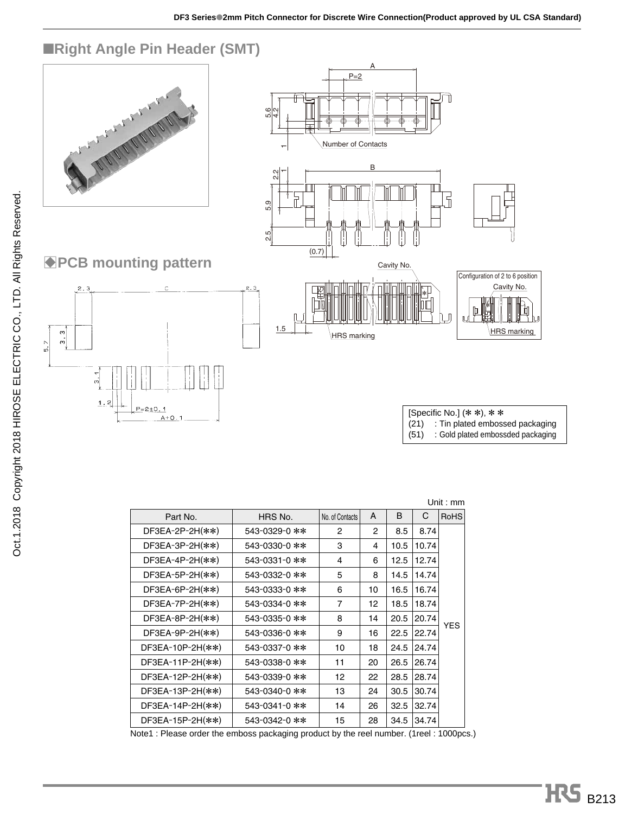

| Unit: $mm$          |               |                 |    |      |       |             |  |  |  |  |
|---------------------|---------------|-----------------|----|------|-------|-------------|--|--|--|--|
| Part No.            | HRS No.       | No. of Contacts | A  | B    | С     | <b>RoHS</b> |  |  |  |  |
| $DF3EA-2P-2H(**)$   | 543-0329-0 ** | 2               | 2  | 8.5  | 8.74  |             |  |  |  |  |
| $DF3EA-3P-2H(**)$   | 543-0330-0 ** | 3               | 4  | 10.5 | 10.74 |             |  |  |  |  |
| $DF3EA-4P-2H(**)$   | 543-0331-0 ** | 4               | 6  | 12.5 | 12.74 |             |  |  |  |  |
| $DF3EA-5P-2H(**)$   | 543-0332-0 ** | 5               | 8  | 14.5 | 14.74 |             |  |  |  |  |
| $DF3EA-6P-2H$ (**)  | 543-0333-0 ** | 6               | 10 | 16.5 | 16.74 |             |  |  |  |  |
| $DF3EA-7P-2H(**)$   | 543-0334-0 ** | $\overline{7}$  | 12 | 18.5 | 18.74 |             |  |  |  |  |
| $DF3EA-8P-2H(**)$   | 543-0335-0 ** | 8               | 14 | 20.5 | 20.74 | YES         |  |  |  |  |
| $DF3EA-9P-2H(**)$   | 543-0336-0 ** | 9               | 16 | 22.5 | 22.74 |             |  |  |  |  |
| $DF3EA-10P-2H$ (**) | 543-0337-0 ** | 10              | 18 | 24.5 | 24.74 |             |  |  |  |  |
| $DF3EA-11P-2H$ (**) | 543-0338-0 ** | 11              | 20 | 26.5 | 26.74 |             |  |  |  |  |
| $DF3EA-12P-2H(**)$  | 543-0339-0 ** | 12              | 22 | 28.5 | 28.74 |             |  |  |  |  |
| $DF3EA-13P-2H$ (**) | 543-0340-0 ** | 13              | 24 | 30.5 | 30.74 |             |  |  |  |  |
| $DF3EA-14P-2H$ (**) | 543-0341-0 ** | 14              | 26 | 32.5 | 32.74 |             |  |  |  |  |
| $DF3EA-15P-2H$ (**) | 543-0342-0 ** | 15              | 28 | 34.5 | 34.74 |             |  |  |  |  |

Note1 : Please order the emboss packaging product by the reel number. (1reel : 1000pcs.)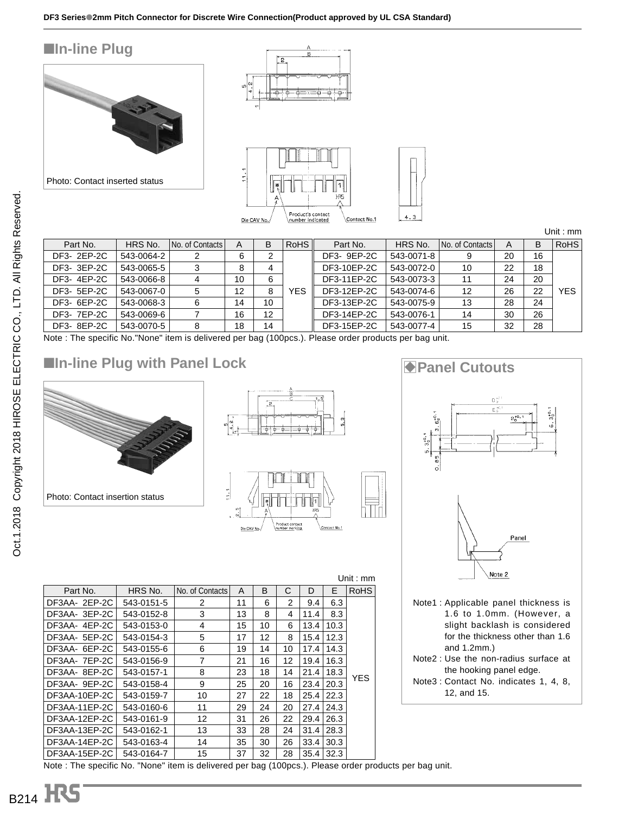





Unit : mm

| Part No.    | HRS No.    | No. of Contacts | A  | B  | RoHS | Part No.    | HRS No.    | No. of Contacts | A  | В  | <b>RoHS</b> |
|-------------|------------|-----------------|----|----|------|-------------|------------|-----------------|----|----|-------------|
| DF3- 2EP-2C | 543-0064-2 |                 | 6  |    |      | DF3- 9EP-2C | 543-0071-8 |                 | 20 | 16 |             |
| DF3- 3EP-2C | 543-0065-5 |                 | 8  |    |      | DF3-10EP-2C | 543-0072-0 | 10              | 22 | 18 |             |
| DF3-4EP-2C  | 543-0066-8 | 4               | 10 | 6  |      | DF3-11EP-2C | 543-0073-3 | 11              | 24 | 20 |             |
| DF3- 5EP-2C | 543-0067-0 | 5               | 12 | 8  | YES  | DF3-12EP-2C | 543-0074-6 | 12              | 26 | 22 | <b>YES</b>  |
| DF3- 6EP-2C | 543-0068-3 | 6               | 14 | 10 |      | DF3-13EP-2C | 543-0075-9 | 13              | 28 | 24 |             |
| DF3- 7EP-2C | 543-0069-6 |                 | 16 | 12 |      | DF3-14EP-2C | 543-0076-1 | 14              | 30 | 26 |             |
| DF3-8EP-2C  | 543-0070-5 | 8               | 18 | 14 |      | DF3-15EP-2C | 543-0077-4 | 15              | 32 | 28 |             |
|             |            |                 |    |    |      |             |            |                 |    |    |             |

Note : The specific No."None" item is delivered per bag (100pcs.). Please order products per bag unit.

## ■In-line Plug with Panel Lock BPanel Cutouts



Part No. | HRS No.

543-0151-5 543-0152-8 543-0153-0 543-0154-3 543-0155-6 543-0156-9 543-0157-1 543-0158-4 543-0159-7 543-0160-6 543-0161-9 543-0162-1 543-0163-4 543-0164-7

DF3AA- 2EP-2C DF3AA- 3EP-2C DF3AA- 4EP-2C DF3AA- 5EP-2C DF3AA- 6EP-2C DF3AA- 7EP-2C DF3AA- 8EP-2C DF3AA- 9EP-2C DF3AA-10EP-2C DF3AA-11EP-2C DF3AA-12EP-2C DF3AA-13EP-2C DF3AA-14EP-2C DF3AA-15EP-2C





Note1 : Applicable panel thickness is 1.6 to 1.0mm. (However, a slight backlash is considered for the thickness other than 1.6 and 1.2mm.) Note2 : Use the non-radius surface at the hooking panel edge. Note3 : Contact No. indicates 1, 4, 8, 12, and 15.

37 Note : The specific No. "None" item is delivered per bag (100pcs.). Please order products per bag unit.

No. of Contacts  $A \mid B \mid C \mid D \mid E$  RoHS

9.4 11.4 13.4 15.4 17.4 19.4 21.4 23.4 25.4 27.4 29.4 31.4 33.4 35.4

6.3 8.3 10.3 12.3 14.3 16.3 18.3 20.3 22.3 24.3 26.3 28.3 30.3 32.3

Unit : mm

YES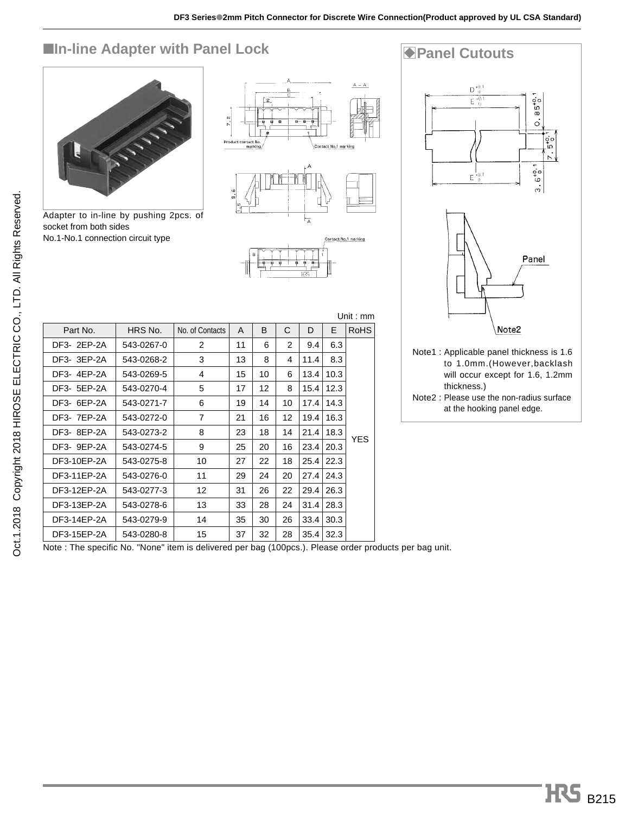# **Example 2 Adapter with Panel Lock BPanel Cutouts**



Adapter to in-line by pushing 2pcs. of socket from both sides No.1-No.1 connection circuit type







to 1.0mm.(However,backlash will occur except for 1.6, 1.2mm thickness.) Note2 : Please use the non-radius surface

at the hooking panel edge.

|             |            |                 |    |    |    |      |      | Unit : $mm$ |
|-------------|------------|-----------------|----|----|----|------|------|-------------|
| Part No.    | HRS No.    | No. of Contacts | A  | B  | C  | D    | F    | <b>RoHS</b> |
| DF3- 2EP-2A | 543-0267-0 | 2               | 11 | 6  | 2  | 9.4  | 6.3  |             |
| DF3- 3EP-2A | 543-0268-2 | 3               | 13 | 8  | 4  | 11.4 | 8.3  |             |
| DF3-4EP-2A  | 543-0269-5 | 4               | 15 | 10 | 6  | 13.4 | 10.3 |             |
| DF3- 5EP-2A | 543-0270-4 | 5               | 17 | 12 | 8  | 15.4 | 12.3 |             |
| DF3- 6EP-2A | 543-0271-7 | 6               | 19 | 14 | 10 | 17.4 | 14.3 |             |
| DF3- 7EP-2A | 543-0272-0 | 7               | 21 | 16 | 12 | 19.4 | 16.3 |             |
| DF3-8EP-2A  | 543-0273-2 | 8               | 23 | 18 | 14 | 21.4 | 18.3 |             |
| DF3- 9EP-2A | 543-0274-5 | 9               | 25 | 20 | 16 | 23.4 | 20.3 | <b>YES</b>  |
| DF3-10EP-2A | 543-0275-8 | 10              | 27 | 22 | 18 | 25.4 | 22.3 |             |
| DF3-11EP-2A | 543-0276-0 | 11              | 29 | 24 | 20 | 27.4 | 24.3 |             |
| DF3-12EP-2A | 543-0277-3 | 12              | 31 | 26 | 22 | 29.4 | 26.3 |             |
| DF3-13EP-2A | 543-0278-6 | 13              | 33 | 28 | 24 | 31.4 | 28.3 |             |
| DF3-14EP-2A | 543-0279-9 | 14              | 35 | 30 | 26 | 33.4 | 30.3 |             |
| DF3-15EP-2A | 543-0280-8 | 15              | 37 | 32 | 28 | 35.4 | 32.3 |             |

Note : The specific No. "None" item is delivered per bag (100pcs.). Please order products per bag unit.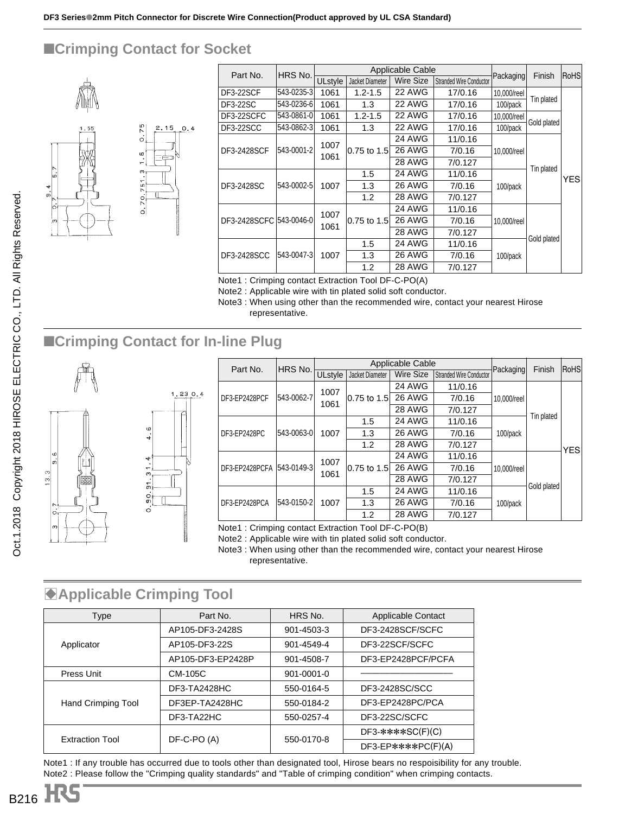## ■**Crimping Contact for Socket**

 $0.4$ 



| Part No.                | HRS No.    |                |                 | Applicable Cable |                                |             | Finish      | RoHS |               |               |         |            |             |  |
|-------------------------|------------|----------------|-----------------|------------------|--------------------------------|-------------|-------------|------|---------------|---------------|---------|------------|-------------|--|
|                         |            | <b>ULstyle</b> | Jacket Diameter | Wire Size        | <b>Stranded Wire Conductor</b> | Packaging   |             |      |               |               |         |            |             |  |
| DF3-22SCF               | 543-0235-3 | 1061           | $1.2 - 1.5$     | 22 AWG           | 17/0.16                        | 10,000/reel |             |      |               |               |         |            |             |  |
| <b>DF3-22SC</b>         | 543-0236-6 | 1061           | 1.3             | 22 AWG           | 17/0.16                        | 100/pack    | Tin plated  |      |               |               |         |            |             |  |
| DF3-22SCFC              | 543-0861-0 | 1061           | $1.2 - 1.5$     | 22 AWG           | 17/0.16                        | 10,000/reel |             |      |               |               |         |            |             |  |
| DF3-22SCC               | 543-0862-3 | 1061           | 1.3             | 22 AWG           | 17/0.16                        | 100/pack    | Gold plated |      |               |               |         |            |             |  |
|                         |            | 1007           |                 | 24 AWG           | 11/0.16                        |             |             |      |               |               |         |            |             |  |
| DF3-2428SCF             | 543-0001-2 |                | 1061            | 0.75 to 1.5      | <b>26 AWG</b>                  | 7/0.16      | 10,000/reel |      |               |               |         |            |             |  |
|                         |            |                |                 | <b>28 AWG</b>    | 7/0.127                        |             |             |      |               |               |         |            |             |  |
|                         | 543-0002-5 |                |                 |                  |                                |             |             | 1.5  | <b>24 AWG</b> | 11/0.16       |         | Tin plated | YES         |  |
| DF3-2428SC              |            | 1007           | 1.3             | <b>26 AWG</b>    | 7/0.16                         | 100/pack    |             |      |               |               |         |            |             |  |
|                         |            |                | 1.2             | <b>28 AWG</b>    | 7/0.127                        |             |             |      |               |               |         |            |             |  |
|                         |            |                |                 | 24 AWG           | 11/0.16                        |             |             |      |               |               |         |            |             |  |
| DF3-2428SCFC 543-0046-0 |            | 1007<br>1061   | 0.75 to 1.5     | <b>26 AWG</b>    | 7/0.16                         | 10.000/reel |             |      |               |               |         |            |             |  |
|                         |            |                |                 | <b>28 AWG</b>    | 7/0.127                        |             |             |      |               |               |         |            |             |  |
| DF3-2428SCC             |            |                |                 |                  |                                |             |             |      | 1.5           | <b>24 AWG</b> | 11/0.16 |            | Gold plated |  |
|                         | 543-0047-3 | 1007           | 1.3             | <b>26 AWG</b>    | 7/0.16                         | 100/pack    |             |      |               |               |         |            |             |  |
|                         |            |                | 1.2             | <b>28 AWG</b>    | 7/0.127                        |             |             |      |               |               |         |            |             |  |

Note1 : Crimping contact Extraction Tool DF-C-PO(A)

Note2 : Applicable wire with tin plated solid soft conductor.

Note3 : When using other than the recommended wire, contact your nearest Hirose representative.

## ■**Crimping Contact for In-line Plug**



| Part No.                  | HRS No.    |                                                                                  |             | Applicable Cable |         |             | Finish      | <b>RoHS</b> |  |            |  |
|---------------------------|------------|----------------------------------------------------------------------------------|-------------|------------------|---------|-------------|-------------|-------------|--|------------|--|
|                           |            | <b>Wire Size</b><br><b>Stranded Wire Conductor</b><br>ULstyle<br>Jacket Diameter |             | Packaging        |         |             |             |             |  |            |  |
| DF3-EP2428PCF             |            | 1007                                                                             |             | 24 AWG           | 11/0.16 |             |             |             |  |            |  |
|                           | 543-0062-7 |                                                                                  | 0.75 to 1.5 | <b>26 AWG</b>    | 7/0.16  | 10.000/reel |             |             |  |            |  |
|                           |            | 1061                                                                             |             | <b>28 AWG</b>    | 7/0.127 |             |             |             |  |            |  |
| DF3-EP2428PC              | 543-0063-0 |                                                                                  |             |                  |         | 1.5         | 24 AWG      | 11/0.16     |  | Tin plated |  |
|                           |            | 1007                                                                             | 1.3         | <b>26 AWG</b>    | 7/0.16  | 100/pack    |             | <b>YES</b>  |  |            |  |
|                           |            |                                                                                  | 1.2         | <b>28 AWG</b>    | 7/0.127 |             |             |             |  |            |  |
|                           |            | 1007                                                                             |             | <b>24 AWG</b>    | 11/0.16 |             |             |             |  |            |  |
| DF3-EP2428PCFA 543-0149-3 |            | 1061                                                                             | 0.75 to 1.5 | <b>26 AWG</b>    | 7/0.16  | 10.000/reel |             |             |  |            |  |
|                           |            |                                                                                  |             | <b>28 AWG</b>    | 7/0.127 |             |             |             |  |            |  |
|                           |            | 1007                                                                             | 1.5         | <b>24 AWG</b>    | 11/0.16 |             | Gold plated |             |  |            |  |
| DF3-EP2428PCA             | 543-0150-2 |                                                                                  | 1.3         | <b>26 AWG</b>    | 7/0.16  | 100/pack    |             |             |  |            |  |
|                           |            |                                                                                  | 1.2         | <b>28 AWG</b>    | 7/0.127 |             |             |             |  |            |  |

Note1 : Crimping contact Extraction Tool DF-C-PO(B)

Note2 : Applicable wire with tin plated solid soft conductor.

Note3 : When using other than the recommended wire, contact your nearest Hirose representative.

## **Applicable Crimping Tool**

| Type                      | Part No.          | HRS No.          | <b>Applicable Contact</b> |
|---------------------------|-------------------|------------------|---------------------------|
|                           | AP105-DF3-2428S   | 901-4503-3       | DF3-2428SCF/SCFC          |
| Applicator                | AP105-DF3-22S     | 901-4549-4       | DF3-22SCF/SCFC            |
|                           | AP105-DF3-EP2428P | 901-4508-7       | DF3-EP2428PCF/PCFA        |
| Press Unit                | CM-105C           | $901 - 0001 - 0$ |                           |
|                           | DF3-TA2428HC      | 550-0164-5       | DF3-2428SC/SCC            |
| <b>Hand Crimping Tool</b> | DF3EP-TA2428HC    | 550-0184-2       | DF3-EP2428PC/PCA          |
|                           | DF3-TA22HC        | 550-0257-4       | DF3-22SC/SCFC             |
|                           |                   |                  | $DF3-****SC(F)(C)$        |
| <b>Extraction Tool</b>    | DF-C-PO (A)       | 550-0170-8       | $DF3-EP$ **** $PC(F)(A)$  |

Note1 : If any trouble has occurred due to tools other than designated tool, Hirose bears no respoisibility for any trouble. Note2 : Please follow the "Crimping quality standards" and "Table of crimping condition" when crimping contacts.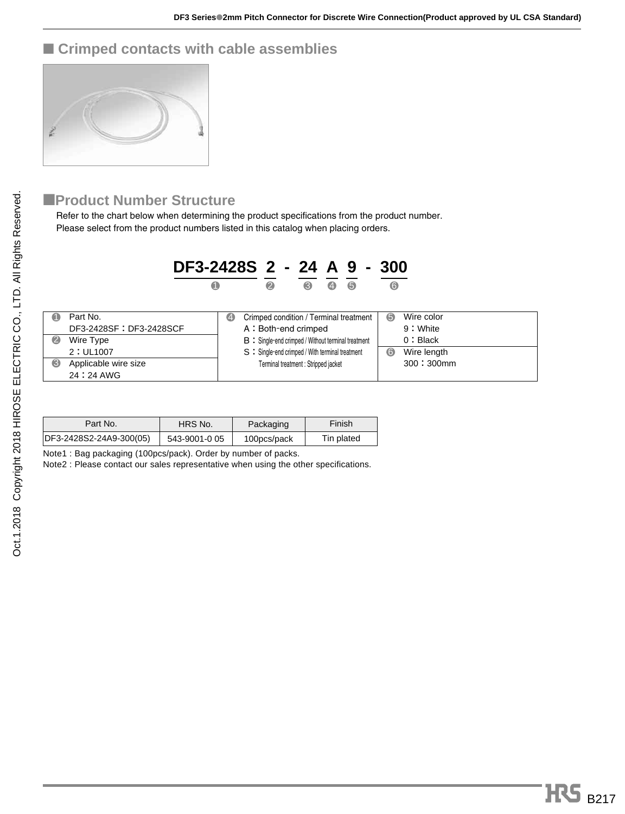## ■ **Crimped contacts with cable assemblies**



#### ■**Product Number Structure**

Refer to the chart below when determining the product specifications from the product number. Please select from the product numbers listed in this catalog when placing orders.

|           | DF3-2428S 2 - 24 A 9 - 300        |            |   |                                                            |                   |   |                  |  |
|-----------|-----------------------------------|------------|---|------------------------------------------------------------|-------------------|---|------------------|--|
|           | O                                 |            | 2 | 6                                                          | $\left( 4\right)$ | 6 | $\bullet$        |  |
| $\bullet$ | Part No.                          | $\bigcirc$ |   | Crimped condition / Terminal treatment                     |                   |   | 6<br>Wire color  |  |
|           | DF3-2428SF: DF3-2428SCF           |            |   | A: Both-end crimped                                        |                   |   | 9: White         |  |
| $\bullet$ | Wire Type                         |            |   | <b>B</b> : Single-end crimped / Without terminal treatment |                   |   | 0: Black         |  |
|           | 2: UL1007                         |            |   | S : Single-end crimped / With terminal treatment           |                   |   | Wire length<br>ര |  |
| ❸         | Applicable wire size<br>24:24 AWG |            |   | Terminal treatment : Stripped jacket                       |                   |   | 300:300mm        |  |

| Part No.                | HRS No.       | Packaging   | Finish     |  |
|-------------------------|---------------|-------------|------------|--|
| DF3-2428S2-24A9-300(05) | 543-9001-0 05 | 100pcs/pack | Tin plated |  |

Note1 : Bag packaging (100pcs/pack). Order by number of packs.

Note2 : Please contact our sales representative when using the other specifications.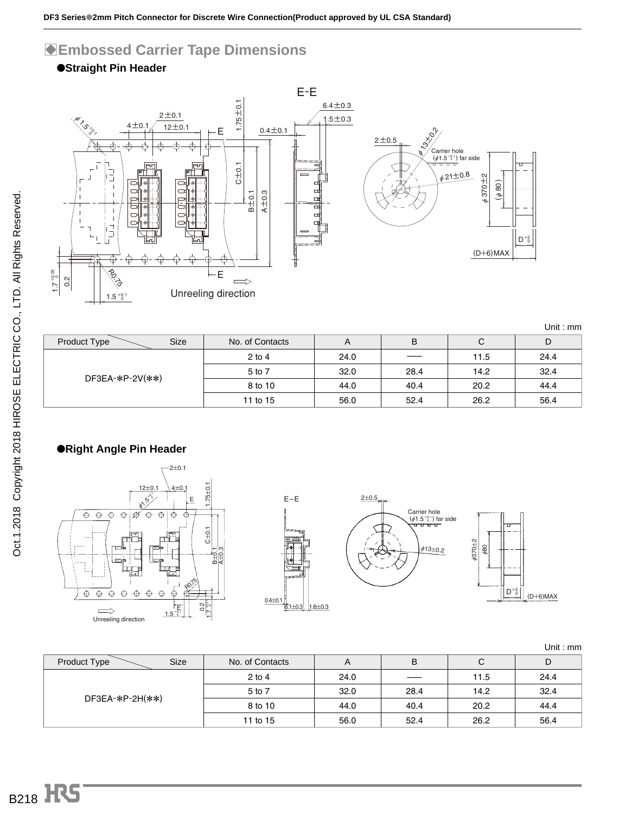### B**Embossed Carrier Tape Dimensions**





| Product Type<br>Size | No. of Contacts | A    | в    | С    | D    |
|----------------------|-----------------|------|------|------|------|
|                      | $2$ to 4        | 24.0 | ____ | 11.5 | 24.4 |
| DF3EA-*P-2V(**)      | 5 to 7          | 32.0 | 28.4 | 14.2 | 32.4 |
|                      | 8 to 10         | 44.0 | 40.4 | 20.2 | 44.4 |
|                      | 11 to 15        | 56.0 | 52.4 | 26.2 | 56.4 |

#### ●**Right Angle Pin Header**









Unit : mm

| <b>Size</b><br>Product Type | No. of Contacts | A    | B    | U    | D    |
|-----------------------------|-----------------|------|------|------|------|
|                             | $2$ to 4        | 24.0 |      | 11.5 | 24.4 |
| DF3EA-*P-2H(**)             | 5 to 7          | 32.0 | 28.4 | 14.2 | 32.4 |
|                             | 8 to 10         | 44.0 | 40.4 | 20.2 | 44.4 |
|                             | 11 to 15        | 56.0 | 52.4 | 26.2 | 56.4 |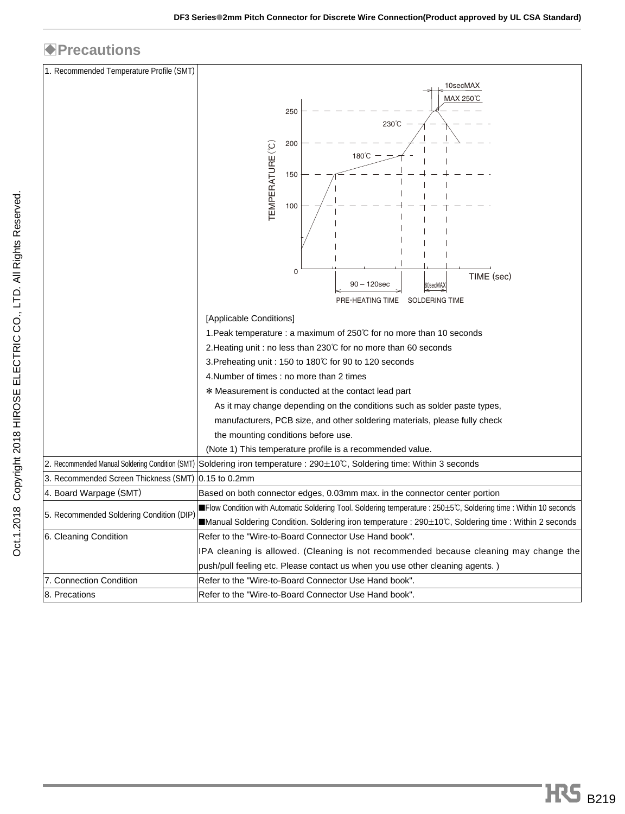## **Precautions**

| 1. Recommended Temperature Profile (SMT)            |                                                                                                                        |
|-----------------------------------------------------|------------------------------------------------------------------------------------------------------------------------|
|                                                     | 10secMAX                                                                                                               |
|                                                     | MAX 250°C                                                                                                              |
|                                                     | 250                                                                                                                    |
|                                                     | 230°C                                                                                                                  |
|                                                     | 200                                                                                                                    |
|                                                     | $180^{\circ}$ C                                                                                                        |
|                                                     | 150                                                                                                                    |
|                                                     |                                                                                                                        |
|                                                     | EMPERATURE(°C)<br>100                                                                                                  |
|                                                     |                                                                                                                        |
|                                                     |                                                                                                                        |
|                                                     |                                                                                                                        |
|                                                     | 0                                                                                                                      |
|                                                     | TIME (sec)<br>$90 - 120$ sec<br>60secMAX                                                                               |
|                                                     | <b>SOLDERING TIME</b><br>PRE-HEATING TIME                                                                              |
|                                                     | [Applicable Conditions]                                                                                                |
|                                                     | 1. Peak temperature : a maximum of 250℃ for no more than 10 seconds                                                    |
|                                                     | 2. Heating unit : no less than 230℃ for no more than 60 seconds                                                        |
|                                                     | 3. Preheating unit : 150 to 180℃ for 90 to 120 seconds                                                                 |
|                                                     | 4. Number of times : no more than 2 times                                                                              |
|                                                     | * Measurement is conducted at the contact lead part                                                                    |
|                                                     | As it may change depending on the conditions such as solder paste types,                                               |
|                                                     | manufacturers, PCB size, and other soldering materials, please fully check                                             |
|                                                     | the mounting conditions before use.                                                                                    |
|                                                     | (Note 1) This temperature profile is a recommended value.                                                              |
|                                                     | 2. Recommended Manual Soldering Condition (SMT) Soldering iron temperature : 290±10℃, Soldering time: Within 3 seconds |
| 3. Recommended Screen Thickness (SMT) 0.15 to 0.2mm |                                                                                                                        |
| 4. Board Warpage (SMT)                              | Based on both connector edges, 0.03mm max. in the connector center portion                                             |
| 5. Recommended Soldering Condition (DIP)            | ■Flow Condition with Automatic Soldering Tool. Soldering temperature : 250±5℃, Soldering time : Within 10 seconds      |
|                                                     | ■Manual Soldering Condition. Soldering iron temperature : 290±10℃, Soldering time : Within 2 seconds                   |
| 6. Cleaning Condition                               | Refer to the "Wire-to-Board Connector Use Hand book".                                                                  |
|                                                     | IPA cleaning is allowed. (Cleaning is not recommended because cleaning may change the                                  |
|                                                     | push/pull feeling etc. Please contact us when you use other cleaning agents.)                                          |
| 7. Connection Condition                             | Refer to the "Wire-to-Board Connector Use Hand book".                                                                  |
| 8. Precations                                       | Refer to the "Wire-to-Board Connector Use Hand book".                                                                  |